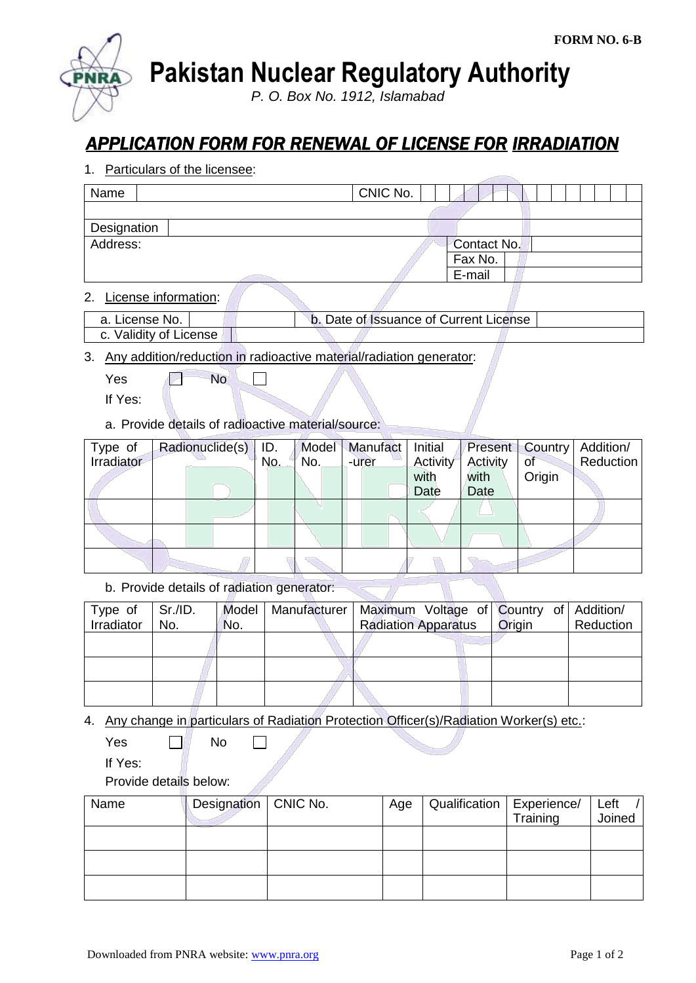

**Pakistan Nuclear Regulatory Authority**

*P. O. Box No. 1912, Islamabad*

## *APPLICATION FORM FOR RENEWAL OF LICENSE FOR IRRADIATION*

1. Particulars of the licensee:

| Name        | CNIC No.    |  |
|-------------|-------------|--|
|             |             |  |
| Designation |             |  |
| Address:    | Contact No. |  |
|             | Fax No.     |  |
|             | E-mail      |  |

2. License information:

| - License No.          | b. Date of Issuance of Current License ' |  |
|------------------------|------------------------------------------|--|
| c. Validity of License |                                          |  |
|                        |                                          |  |

3. Any addition/reduction in radioactive material/radiation generator:

- If Yes:
- a. Provide details of radioactive material/source:

| Type of    | Radionuclide(s) | ID. |     | Model   Manufact | Initial  | <b>Present</b> | <b>Country</b> | Addition/ |
|------------|-----------------|-----|-----|------------------|----------|----------------|----------------|-----------|
| Irradiator |                 | No. | No. | -urer            | Activity | Activity       | of             | Reduction |
|            |                 |     |     |                  | with     | with           | Origin         |           |
|            |                 |     |     |                  | Date     | Date           |                |           |
|            |                 |     |     |                  |          |                |                |           |
|            |                 |     |     |                  |          |                |                |           |
|            |                 |     |     |                  |          |                |                |           |
|            |                 |     |     |                  |          |                |                |           |

b. Provide details of radiation generator:

| Type of<br>Irradiator | Sr./ID.<br>No. | No. | Model   Manufacturer | Maximum Voltage of Country of Addition/<br><b>Radiation Apparatus</b> | <b>Origin</b> | Reduction |
|-----------------------|----------------|-----|----------------------|-----------------------------------------------------------------------|---------------|-----------|
|                       |                |     |                      |                                                                       |               |           |
|                       |                |     |                      |                                                                       |               |           |
|                       |                |     |                      |                                                                       |               |           |

- 4. Any change in particulars of Radiation Protection Officer(s)/Radiation Worker(s) etc.:
	- $Yes \qquad \Box$  No

If Yes:

Provide details below:

| Name | Designation   CNIC No. | Age | Qualification   Experience/ | l Left |
|------|------------------------|-----|-----------------------------|--------|
|      |                        |     | Training                    | Joined |
|      |                        |     |                             |        |
|      |                        |     |                             |        |
|      |                        |     |                             |        |
|      |                        |     |                             |        |
|      |                        |     |                             |        |